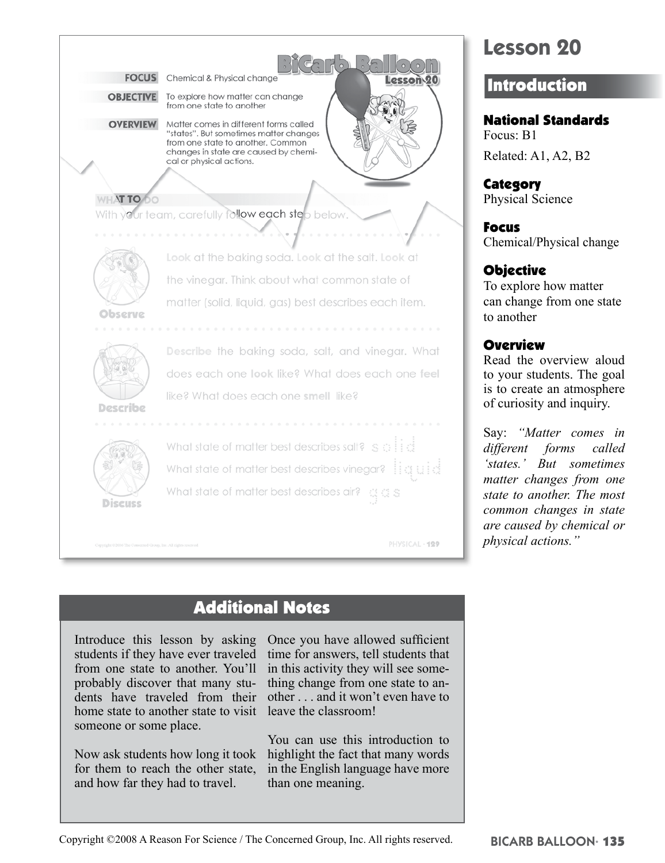

# Additional Notes

Introduce this lesson by asking students if they have ever traveled from one state to another. You'll probably discover that many students have traveled from their home state to another state to visit someone or some place.

Now ask students how long it took for them to reach the other state, and how far they had to travel.

Once you have allowed sufficient time for answers, tell students that in this activity they will see something change from one state to another . . . and it won't even have to leave the classroom!

You can use this introduction to highlight the fact that many words in the English language have more than one meaning.

#### Copyright ©2008 A Reason For Science / The Concerned Group, Inc. All rights reserved.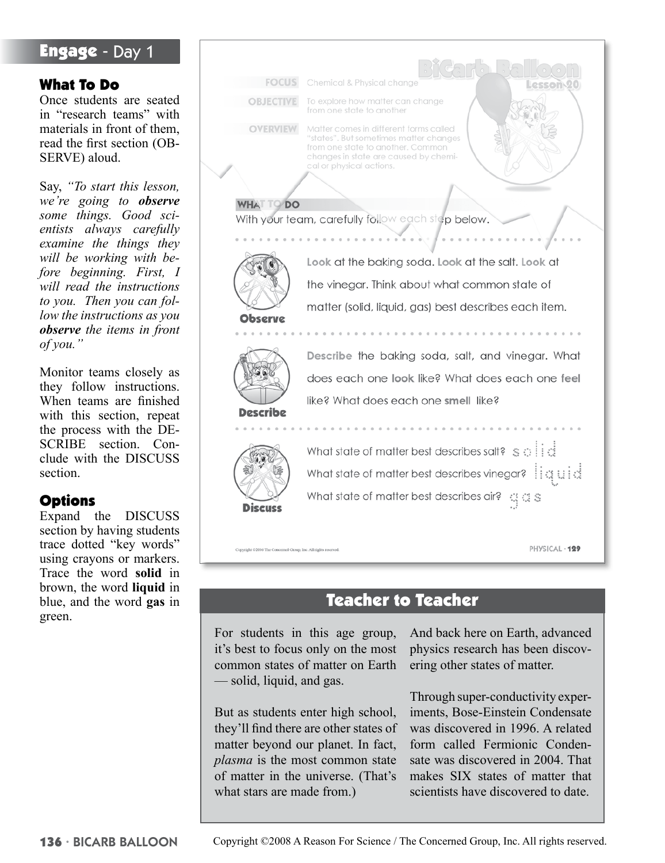# Engage - Day 1

### What To Do

Once students are seated in "research teams" with materials in front of them, read the first section (OB-SERVE) aloud.

Say, *"To start this lesson, we're going to observe some things. Good scientists always carefully examine the things they will be working with before beginning. First, I will read the instructions to you. Then you can follow the instructions as you observe the items in front of you."*

Monitor teams closely as they follow instructions. When teams are finished with this section, repeat the process with the DE-SCRIBE section. Conclude with the DISCUSS section.

### **Options**

Expand the DISCUSS section by having students trace dotted "key words" using crayons or markers. Trace the word **solid** in brown, the word **liquid** in blue, and the word **gas** in green.

**FOCUS** Chemical & Physical change esson<sub>20</sub> **OBJECTIVE** To explore how matter can change from one state to another **OVERVIEW** Matter comes in different forms called 'states". But sometimes matter changes from one state to another. Common changes in state are caused by chemical or physical actions. **TO DO** With your team, carefully follow each step below. Look at the baking soda. Look at the salt. Look at the vinegar. Think about what common state of matter (solid, liquid, gas) best describes each item. Observe Describe the baking soda, salt, and vinegar. What does each one look like? What does each one feel like? What does each one smell like? Describe What state of matter best describes salt?  $\leq$   $\oplus$   $\cdots$ What state of matter best describes vinegar? ii a uid What state of matter best describes air? (3.3) **Discuss** PHYSICAL · 129 right @2006 The Concerned Group, Inc. All rights

# Teacher to Teacher

For students in this age group, it's best to focus only on the most common states of matter on Earth — solid, liquid, and gas.

But as students enter high school, they'll find there are other states of matter beyond our planet. In fact, *plasma* is the most common state of matter in the universe. (That's what stars are made from.)

And back here on Earth, advanced physics research has been discovering other states of matter.

Through super-conductivity experiments, Bose-Einstein Condensate was discovered in 1996. A related form called Fermionic Condensate was discovered in 2004. That makes SIX states of matter that scientists have discovered to date.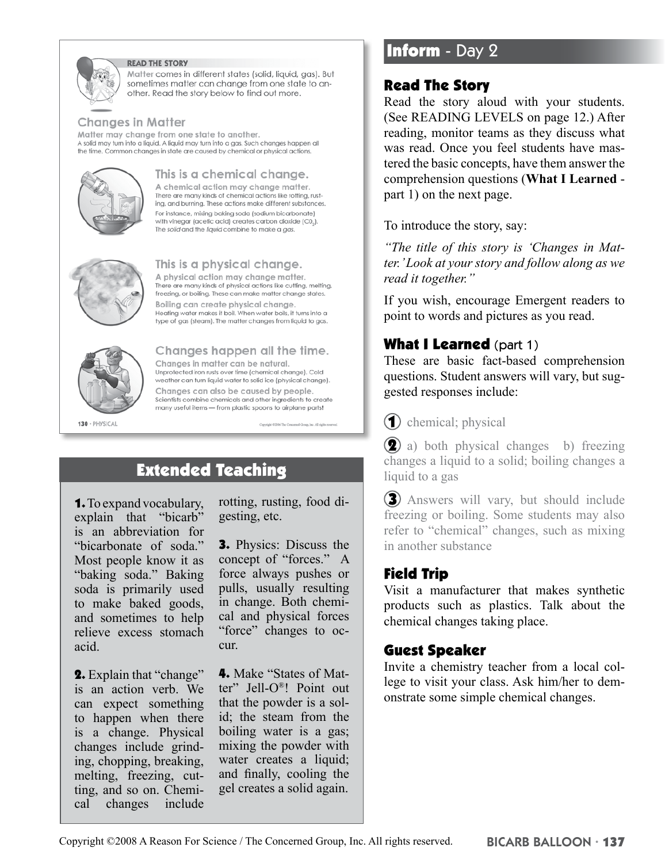

#### **READ THE STORY**

Matter comes in different states (solid, liquid, gas). But sometimes matter can change from one state to another. Read the story below to find out more.

#### **Changes in Matter**

Matter may change from one state to another. A solid may turn into a liquid. A liquid may turn into a gas. Such changes happen all the time. Common changes in state are caused by chemical or physical actions.



### This is a chemical change.

A chemical action may change matter. There are many kinds of chemical actions like rotting, rusting, and burning. These actions make different substances. For instance, mixing baking soda (sodium bicarbonate) with vinegar (acetic acid) creates carbon dioxide (C02). The solid and the liquid combine to make a gas.



#### This is a physical change.

A physical action may change matter. There are many kinds of physical actions like cutting, melting, freezing, or boiling. These can make matter change states. Boiling can create physical change. Heating water makes it boil. When water boils, it turns into a type of gas (steam). The matter changes from liquid to gas.

Changes happen all the time.

Changes in matter can be natural. Unprotected iron rusts over time (chemical change). Cold weather can turn liquid water to solid ice (physical change). Changes can also be caused by people. Scientists combine chemicals and other ingredients to create many useful items - from plastic spoons to airplane parts!



#### 130 · PHYSICAL

# Extended Teaching

1. To expand vocabulary, explain that "bicarb" is an abbreviation for "bicarbonate of soda." Most people know it as "baking soda." Baking soda is primarily used to make baked goods, and sometimes to help relieve excess stomach acid.

2. Explain that "change" is an action verb. We can expect something to happen when there is a change. Physical changes include grinding, chopping, breaking, melting, freezing, cutting, and so on. Chemical changes include

rotting, rusting, food digesting, etc.

3. Physics: Discuss the concept of "forces." A force always pushes or pulls, usually resulting in change. Both chemical and physical forces "force" changes to occur.

4. Make "States of Matter" Jell-O®! Point out that the powder is a solid; the steam from the boiling water is a gas; mixing the powder with water creates a liquid; and finally, cooling the gel creates a solid again.

# **Inform** - Day 2

### Read The Story

Read the story aloud with your students. (See READING LEVELS on page 12.) After reading, monitor teams as they discuss what was read. Once you feel students have mastered the basic concepts, have them answer the comprehension questions (**What I Learned** part 1) on the next page.

To introduce the story, say:

*"The title of this story is 'Changes in Matter.' Look at your story and follow along as we read it together."* 

If you wish, encourage Emergent readers to point to words and pictures as you read.

### **What I Learned** (part 1)

These are basic fact-based comprehension questions. Student answers will vary, but suggested responses include:

(1) chemical; physical

**(2)** a) both physical changes b) freezing changes a liquid to a solid; boiling changes a liquid to a gas

**3** Answers will vary, but should include freezing or boiling. Some students may also refer to "chemical" changes, such as mixing in another substance

#### Field Trip

Visit a manufacturer that makes synthetic products such as plastics. Talk about the chemical changes taking place.

#### Guest Speaker

Invite a chemistry teacher from a local college to visit your class. Ask him/her to demonstrate some simple chemical changes.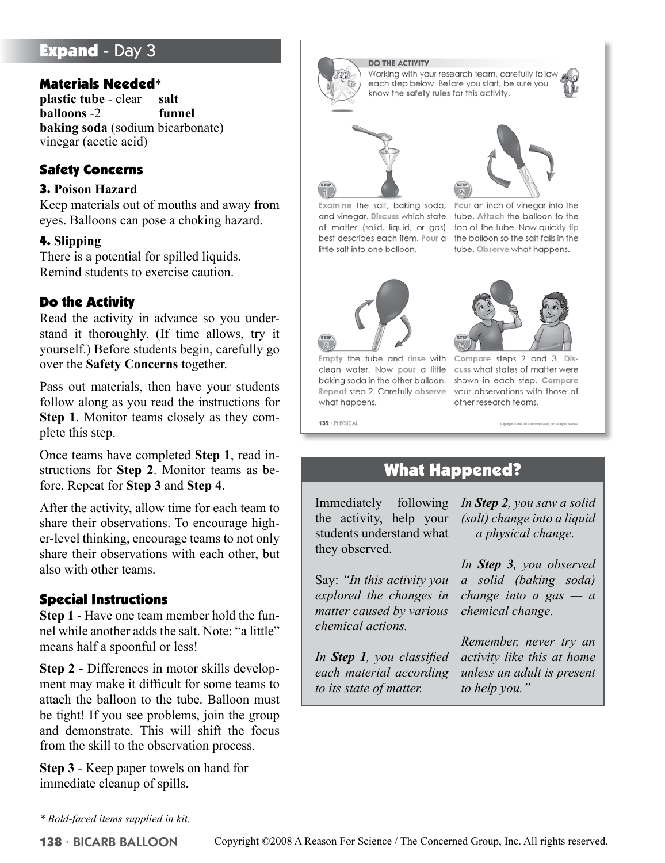# **Expand - Day 3**

#### Materials Needed\*

**plastic tube** - clear **salt balloons** -2 **funnel baking soda** (sodium bicarbonate) vinegar (acetic acid)

### Safety Concerns

#### 3. **Poison Hazard**

Keep materials out of mouths and away from eyes. Balloons can pose a choking hazard.

#### 4. **Slipping**

There is a potential for spilled liquids. Remind students to exercise caution.

### Do the Activity

Read the activity in advance so you understand it thoroughly. (If time allows, try it yourself.) Before students begin, carefully go over the **Safety Concerns** together.

Pass out materials, then have your students follow along as you read the instructions for **Step 1**. Monitor teams closely as they complete this step.

Once teams have completed **Step 1**, read instructions for **Step 2**. Monitor teams as before. Repeat for **Step 3** and **Step 4**.

After the activity, allow time for each team to share their observations. To encourage higher-level thinking, encourage teams to not only share their observations with each other, but also with other teams.

### Special Instructions

**Step 1** - Have one team member hold the funnel while another adds the salt. Note: "a little" means half a spoonful or less!

**Step 2** - Differences in motor skills development may make it difficult for some teams to attach the balloon to the tube. Balloon must be tight! If you see problems, join the group and demonstrate. This will shift the focus from the skill to the observation process.

**Step 3** - Keep paper towels on hand for immediate cleanup of spills.

*\* Bold-faced items supplied in kit.*



Examine the salt, baking soda, Pour an inch of vinegar into the and vinegar. Discuss which state tube. Attach the balloon to the of matter (solid, liquid, or gas) top of the tube. Now quickly tip best describes each item. Pour a the balloon so the salt falls in the little salt into one balloon.



Empty the tube and rinse with Compare steps 2 and 3. Diswhat happens.



tube. Observe what happens.

clean water. Now pour a little cuss what states of matter were baking soda in the other balloon. shown in each step. Compare Repeat step 2. Carefully observe your observations with those of other research teams.

132 · PHYSICAL

# What Happened?

Immediately following the activity, help your students understand what they observed.

Say: *"In this activity you explored the changes in matter caused by various chemical actions.* 

*In Step 1, you classified each material according to its state of matter.* 

*In Step 2, you saw a solid (salt) change into a liquid — a physical change.* 

*In Step 3, you observed a solid (baking soda) change into a gas — a chemical change.* 

*Remember, never try an activity like this at home unless an adult is present to help you."*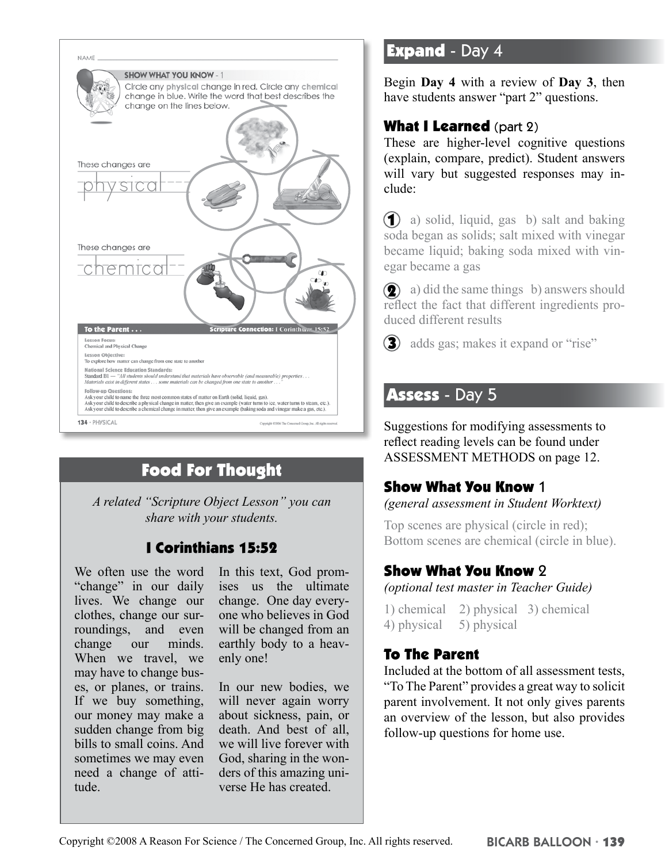

# Food For Thought

*A related "Scripture Object Lesson" you can share with your students.*

# I Corinthians 15:52

We often use the word "change" in our daily lives. We change our clothes, change our surroundings, and even change our minds. When we travel, we may have to change buses, or planes, or trains. If we buy something, our money may make a sudden change from big bills to small coins. And sometimes we may even need a change of attitude.

In this text, God promises us the ultimate change. One day everyone who believes in God will be changed from an earthly body to a heavenly one!

In our new bodies, we will never again worry about sickness, pain, or death. And best of all, we will live forever with God, sharing in the wonders of this amazing universe He has created.

# **Expand - Day 4**

Begin **Day 4** with a review of **Day 3**, then have students answer "part 2" questions.

# What I Learned (part 2)

These are higher-level cognitive questions (explain, compare, predict). Student answers will vary but suggested responses may include:

 a) solid, liquid, gas b) salt and baking soda began as solids; salt mixed with vinegar became liquid; baking soda mixed with vinegar became a gas

**(2)** a) did the same things b) answers should reflect the fact that different ingredients produced different results

**3** adds gas; makes it expand or "rise"

# Assess - Day 5

Suggestions for modifying assessments to reflect reading levels can be found under ASSESSMENT METHODS on page 12.

### Show What You Know 1

*(general assessment in Student Worktext)*

Top scenes are physical (circle in red); Bottom scenes are chemical (circle in blue).

## Show What You Know 2

*(optional test master in Teacher Guide)*

1) chemical 2) physical 3) chemical 4) physical 5) physical

### To The Parent

Included at the bottom of all assessment tests, "To The Parent" provides a great way to solicit parent involvement. It not only gives parents an overview of the lesson, but also provides follow-up questions for home use.